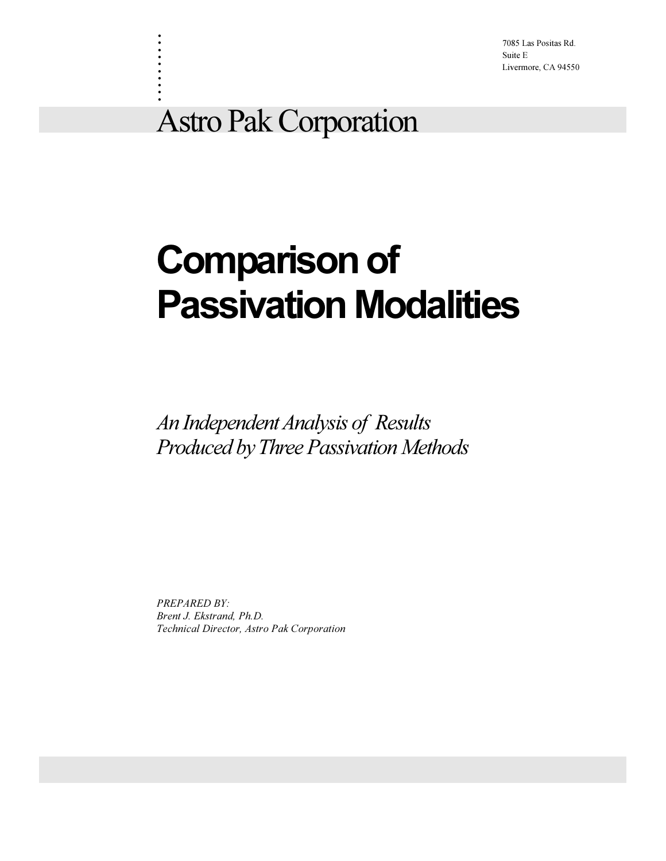7085 Las Positas Rd. Suite E Livermore, CA 94550

## Astro Pak Corporation

. . . . . . . . . .

# Comparison of Passivation Modalities

An Independent Analysis of Results Produced by Three Passivation Methods

PREPARED BY: Brent J. Ekstrand, Ph.D. Technical Director, Astro Pak Corporation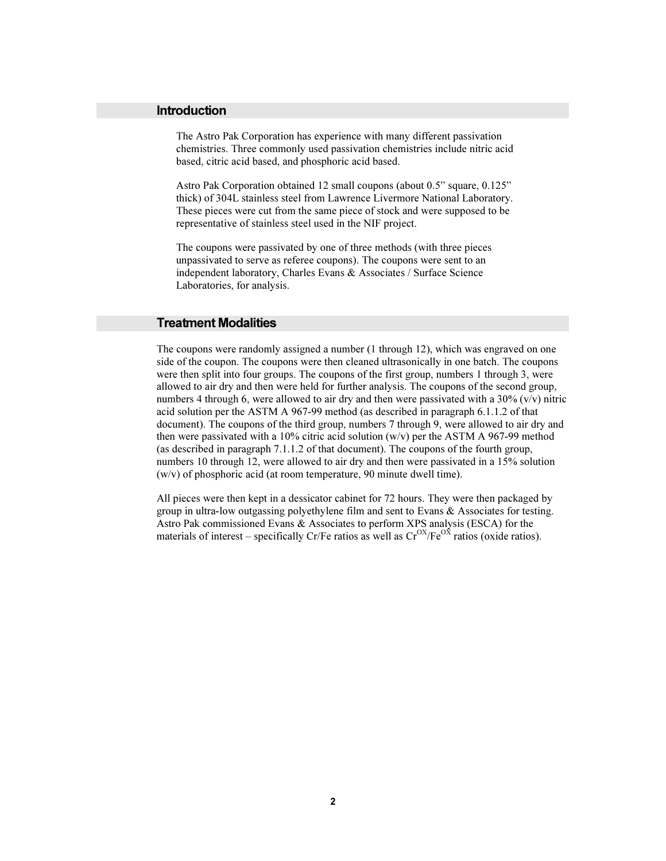#### Introduction

The Astro Pak Corporation has experience with many different passivation chemistries. Three commonly used passivation chemistries include nitric acid based, citric acid based, and phosphoric acid based.

Astro Pak Corporation obtained 12 small coupons (about 0.5" square, 0.125" thick) of 304L stainless steel from Lawrence Livermore National Laboratory. These pieces were cut from the same piece of stock and were supposed to be representative of stainless steel used in the NIF project.

The coupons were passivated by one of three methods (with three pieces unpassivated to serve as referee coupons). The coupons were sent to an independent laboratory, Charles Evans & Associates / Surface Science Laboratories, for analysis.

#### Treatment Modalities

The coupons were randomly assigned a number (1 through 12), which was engraved on one side of the coupon. The coupons were then cleaned ultrasonically in one batch. The coupons were then split into four groups. The coupons of the first group, numbers 1 through 3, were allowed to air dry and then were held for further analysis. The coupons of the second group, numbers 4 through 6, were allowed to air dry and then were passivated with a  $30\%$  (v/v) nitric acid solution per the ASTM A 967-99 method (as described in paragraph 6.1.1.2 of that document). The coupons of the third group, numbers 7 through 9, were allowed to air dry and then were passivated with a 10% citric acid solution (w/v) per the ASTM A 967-99 method (as described in paragraph 7.1.1.2 of that document). The coupons of the fourth group, numbers 10 through 12, were allowed to air dry and then were passivated in a 15% solution (w/v) of phosphoric acid (at room temperature, 90 minute dwell time).

All pieces were then kept in a dessicator cabinet for 72 hours. They were then packaged by group in ultra-low outgassing polyethylene film and sent to Evans & Associates for testing. Astro Pak commissioned Evans & Associates to perform XPS analysis (ESCA) for the materials of interest – specifically Cr/Fe ratios as well as  $Cr^{OX}/Fe^{OX}$  ratios (oxide ratios).